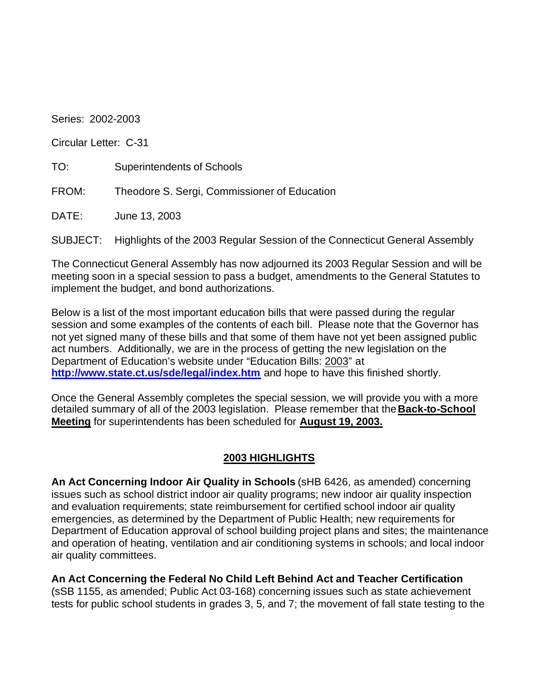Series: 2002-2003

Circular Letter: C-31

TO: Superintendents of Schools

FROM: Theodore S. Sergi, Commissioner of Education

DATE: June 13, 2003

SUBJECT: Highlights of the 2003 Regular Session of the Connecticut General Assembly

The Connecticut General Assembly has now adjourned its 2003 Regular Session and will be meeting soon in a special session to pass a budget, amendments to the General Statutes to implement the budget, and bond authorizations.

Below is a list of the most important education bills that were passed during the regular session and some examples of the contents of each bill. Please note that the Governor has not yet signed many of these bills and that some of them have not yet been assigned public act numbers. Additionally, we are in the process of getting the new legislation on the Department of Education's website under "Education Bills: 2003" at **http://www.state.ct.us/sde/legal/index.htm** and hope to have this finished shortly.

Once the General Assembly completes the special session, we will provide you with a more detailed summary of all of the 2003 legislation. Please remember that the **Back-to-School Meeting** for superintendents has been scheduled for **August 19, 2003.** 

## **2003 HIGHLIGHTS**

**An Act Concerning Indoor Air Quality in Schools** (sHB 6426, as amended) concerning issues such as school district indoor air quality programs; new indoor air quality inspection and evaluation requirements; state reimbursement for certified school indoor air quality emergencies, as determined by the Department of Public Health; new requirements for Department of Education approval of school building project plans and sites; the maintenance and operation of heating, ventilation and air conditioning systems in schools; and local indoor air quality committees.

**An Act Concerning the Federal No Child Left Behind Act and Teacher Certification**  (sSB 1155, as amended; Public Act 03-168) concerning issues such as state achievement tests for public school students in grades 3, 5, and 7; the movement of fall state testing to the